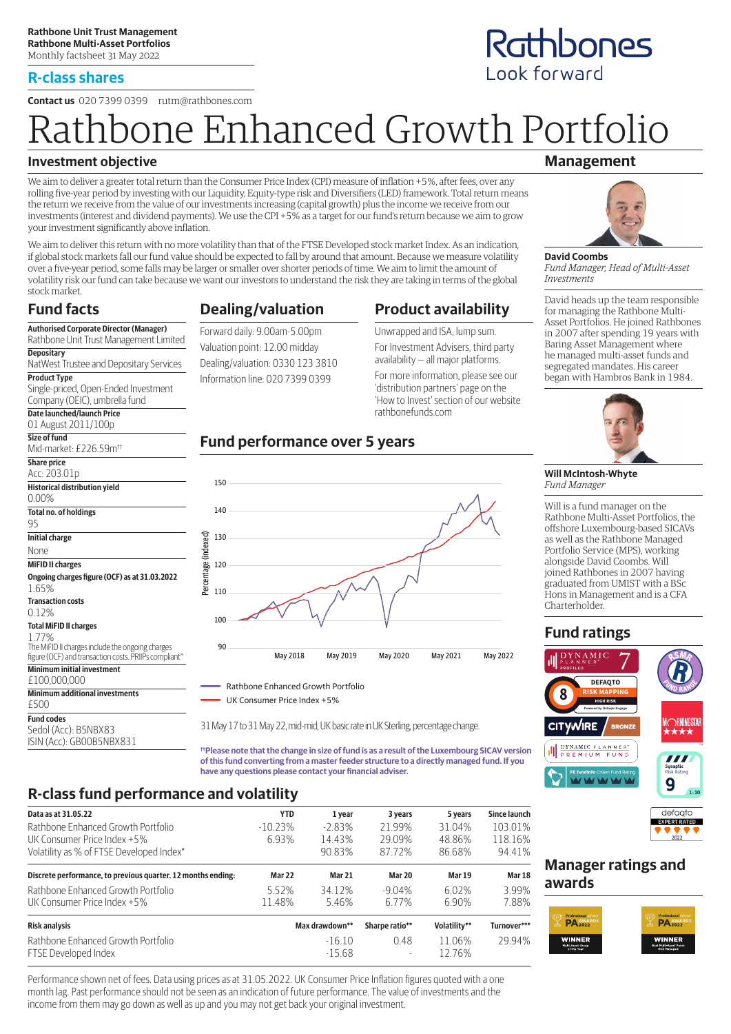#### **R-class shares**

**Contact us** 020 7399 0399 rutm@rathbones.com

# bone Enhanced Growth Portfolio

### **Investment objective**

We aim to deliver a greater total return than the Consumer Price Index (CPI) measure of inflation +5%, after fees, over any rolling five-year period by investing with our Liquidity, Equity-type risk and Diversifiers (LED) framework. Total return means the return we receive from the value of our investments increasing (capital growth) plus the income we receive from our investments (interest and dividend payments). We use the CPI +5% as a target for our fund's return because we aim to grow your investment significantly above inflation.

We aim to deliver this return with no more volatility than that of the FTSE Developed stock market Index. As an indication, if global stock markets fall our fund value should be expected to fall by around that amount. Because we measure volatility over a five-year period, some falls may be larger or smaller over shorter periods of time. We aim to limit the amount of volatility risk our fund can take because we want our investors to understand the risk they are taking in terms of the global stock market.

## **Fund facts**

**Depositary**

**Product Type**

**Size of fund**

**Share price** Acc: 203.01p

0.00%

1.65% **Transaction costs** 0.12%

1.77%

£500 **Fund codes**

95 **Initial charge** None **MiFID II charges**

Mid-market: £226.59m††

**Historical distribution yield**

**Total no. of holdings**

**Total MiFID II charges**

**Minimum initial investment** £100,000,000

Sedol (Acc): B5NBX83 ISIN (Acc): GB00B5NBX831

**Minimum additional investments**

**Authorised Corporate Director (Manager)** Rathbone Unit Trust Management Limited

NatWest Trustee and Depositary Services

Single-priced, Open-Ended Investment Company (OEIC), umbrella fund **Date launched/launch Price** 01 August 2011/100p

**Ongoing charges figure (OCF) as at 31.03.2022**

The MiFID II charges include the ongoing charges figure (OCF) and transaction costs. PRIIPs compliant^

## **Dealing/valuation**

Forward daily: 9.00am-5.00pm Valuation point: 12.00 midday Dealing/valuation: 0330 123 3810 Information line: 020 7399 0399

## **Product availability**

Unwrapped and ISA, lump sum. For Investment Advisers, third party availability — all major platforms.

For more information, please see our 'distribution partners' page on the 'How to Invest' section of our website rathbonefunds.com

## **Fund performance over 5 years**



UK Consumer Price Index +5%

31 May 17 to 31 May 22, mid-mid, UK basic rate in UK Sterling, percentage change.

**††Please note that the change in size of fund is as a result of the Luxembourg SICAV version of this fund converting from a master feeder structure to a directly managed fund. If you have any questions please contact your financial adviser.**

## **R-class fund performance and volatility**

| Data as at 31.05.22                                          | <b>YTD</b>    | 1 year               | 3 years        | 5 years          | Since launch  |
|--------------------------------------------------------------|---------------|----------------------|----------------|------------------|---------------|
| Rathbone Enhanced Growth Portfolio                           | $-10.23%$     | $-2.83\%$            | 21.99%         | 31.04%           | 103.01%       |
| UK Consumer Price Index +5%                                  | 6.93%         | 14.43%               | 29.09%         | 48.86%           | 118.16%       |
| Volatility as % of FTSE Developed Index*                     |               | 90.83%               | 87.72%         | 86.68%           | 94.41%        |
| Discrete performance, to previous quarter. 12 months ending: | <b>Mar 22</b> | <b>Mar 21</b>        | Mar 20         | <b>Mar 19</b>    | <b>Mar 18</b> |
| Rathbone Enhanced Growth Portfolio                           | 5.52%         | 34.12%               | $-9.04\%$      | 6.02%            | 3.99%         |
| UK Consumer Price Index +5%                                  | 11.48%        | 5.46%                | 6.77%          | 6.90%            | 7.88%         |
| <b>Risk analysis</b>                                         |               | Max drawdown**       | Sharpe ratio** | Volatility**     | Turnover***   |
| Rathbone Enhanced Growth Portfolio<br>FTSE Developed Index   |               | $-16.10$<br>$-15.68$ | 0.48           | 11.06%<br>12.76% | 29.94%        |

Performance shown net of fees. Data using prices as at 31.05.2022. UK Consumer Price Inflation figures quoted with a one month lag. Past performance should not be seen as an indication of future performance. The value of investments and the income from them may go down as well as up and you may not get back your original investment.

## **Management**



**David Coombs** *Fund Manager, Head of Multi-Asset Investments*

David heads up the team responsible for managing the Rathbone Multi-Asset Portfolios. He joined Rathbones in 2007 after spending 19 years with Baring Asset Management where he managed multi-asset funds and segregated mandates. His career began with Hambros Bank in 1984.



#### **Will McIntosh-Whyte** *Fund Manager*

Will is a fund manager on the Rathbone Multi-Asset Portfolios, the offshore Luxembourg-based SICAVs as well as the Rathbone Managed Portfolio Service (MPS), working alongside David Coombs. Will joined Rathbones in 2007 having graduated from UMIST with a BSc Hons in Management and is a CFA Charterholder.

## **Fund ratings**



defaqto **EXPERT RATED**  $\begin{array}{c}\n2022\n\end{array}$ 

## **Manager ratings and awards**